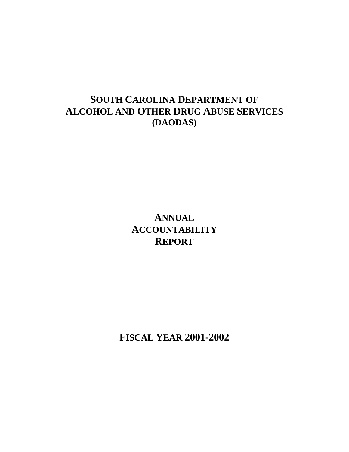## **SOUTH CAROLINA DEPARTMENT OF ALCOHOL AND OTHER DRUG ABUSE SERVICES (DAODAS)**

# **ANNUAL ACCOUNTABILITY REPORT**

**FISCAL YEAR 2001-2002**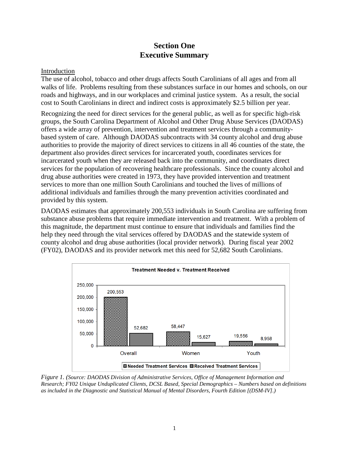## **Section One Executive Summary**

#### Introduction

The use of alcohol, tobacco and other drugs affects South Carolinians of all ages and from all walks of life. Problems resulting from these substances surface in our homes and schools, on our roads and highways, and in our workplaces and criminal justice system. As a result, the social cost to South Carolinians in direct and indirect costs is approximately \$2.5 billion per year.

Recognizing the need for direct services for the general public, as well as for specific high-risk groups, the South Carolina Department of Alcohol and Other Drug Abuse Services (DAODAS) offers a wide array of prevention, intervention and treatment services through a communitybased system of care. Although DAODAS subcontracts with 34 county alcohol and drug abuse authorities to provide the majority of direct services to citizens in all 46 counties of the state, the department also provides direct services for incarcerated youth, coordinates services for incarcerated youth when they are released back into the community, and coordinates direct services for the population of recovering healthcare professionals. Since the county alcohol and drug abuse authorities were created in 1973, they have provided intervention and treatment services to more than one million South Carolinians and touched the lives of millions of additional individuals and families through the many prevention activities coordinated and provided by this system.

DAODAS estimates that approximately 200,553 individuals in South Carolina are suffering from substance abuse problems that require immediate intervention and treatment. With a problem of this magnitude, the department must continue to ensure that individuals and families find the help they need through the vital services offered by DAODAS and the statewide system of county alcohol and drug abuse authorities (local provider network). During fiscal year 2002 (FY02), DAODAS and its provider network met this need for 52,682 South Carolinians.



*Figure 1. (Source: DAODAS Division of Administrative Services, Office of Management Information and Research; FY02 Unique Unduplicated Clients, DCSL Based, Special Demographics – Numbers based on definitions as included in the Diagnostic and Statistical Manual of Mental Disorders, Fourth Edition [(DSM-IV].)*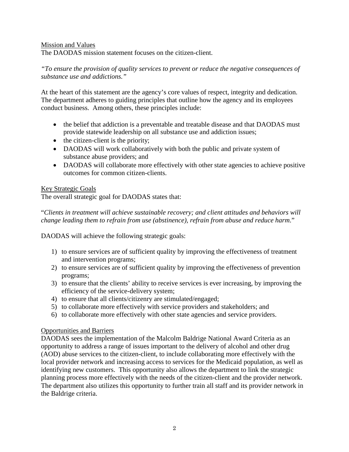#### Mission and Values

The DAODAS mission statement focuses on the citizen-client.

#### *"To ensure the provision of quality services to prevent or reduce the negative consequences of substance use and addictions."*

At the heart of this statement are the agency's core values of respect, integrity and dedication. The department adheres to guiding principles that outline how the agency and its employees conduct business. Among others, these principles include:

- the belief that addiction is a preventable and treatable disease and that DAODAS must provide statewide leadership on all substance use and addiction issues;
- the citizen-client is the priority;
- DAODAS will work collaboratively with both the public and private system of substance abuse providers; and
- DAODAS will collaborate more effectively with other state agencies to achieve positive outcomes for common citizen-clients.

#### Key Strategic Goals

The overall strategic goal for DAODAS states that:

"*Clients in treatment will achieve sustainable recovery; and client attitudes and behaviors will change leading them to refrain from use (abstinence), refrain from abuse and reduce harm*."

DAODAS will achieve the following strategic goals:

- 1) to ensure services are of sufficient quality by improving the effectiveness of treatment and intervention programs;
- 2) to ensure services are of sufficient quality by improving the effectiveness of prevention programs;
- 3) to ensure that the clients' ability to receive services is ever increasing, by improving the efficiency of the service-delivery system;
- 4) to ensure that all clients/citizenry are stimulated/engaged;
- 5) to collaborate more effectively with service providers and stakeholders; and
- 6) to collaborate more effectively with other state agencies and service providers.

#### Opportunities and Barriers

DAODAS sees the implementation of the Malcolm Baldrige National Award Criteria as an opportunity to address a range of issues important to the delivery of alcohol and other drug (AOD) abuse services to the citizen-client, to include collaborating more effectively with the local provider network and increasing access to services for the Medicaid population, as well as identifying new customers. This opportunity also allows the department to link the strategic planning process more effectively with the needs of the citizen-client and the provider network. The department also utilizes this opportunity to further train all staff and its provider network in the Baldrige criteria.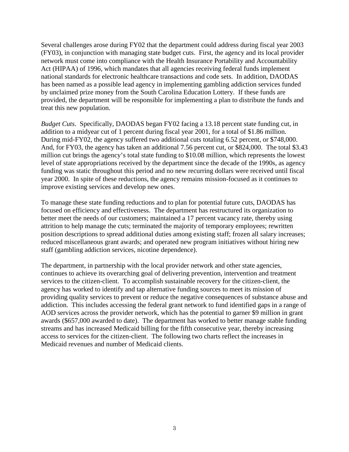Several challenges arose during FY02 that the department could address during fiscal year 2003 (FY03), in conjunction with managing state budget cuts. First, the agency and its local provider network must come into compliance with the Health Insurance Portability and Accountability Act (HIPAA) of 1996, which mandates that all agencies receiving federal funds implement national standards for electronic healthcare transactions and code sets. In addition, DAODAS has been named as a possible lead agency in implementing gambling addiction services funded by unclaimed prize money from the South Carolina Education Lottery. If these funds are provided, the department will be responsible for implementing a plan to distribute the funds and treat this new population.

*Budget Cuts*. Specifically, DAODAS began FY02 facing a 13.18 percent state funding cut, in addition to a midyear cut of 1 percent during fiscal year 2001, for a total of \$1.86 million. During mid-FY02, the agency suffered two additional cuts totaling 6.52 percent, or \$748,000. And, for FY03, the agency has taken an additional 7.56 percent cut, or \$824,000. The total \$3.43 million cut brings the agency's total state funding to \$10.08 million, which represents the lowest level of state appropriations received by the department since the decade of the 1990s, as agency funding was static throughout this period and no new recurring dollars were received until fiscal year 2000. In spite of these reductions, the agency remains mission-focused as it continues to improve existing services and develop new ones.

To manage these state funding reductions and to plan for potential future cuts, DAODAS has focused on efficiency and effectiveness. The department has restructured its organization to better meet the needs of our customers; maintained a 17 percent vacancy rate, thereby using attrition to help manage the cuts; terminated the majority of temporary employees; rewritten position descriptions to spread additional duties among existing staff; frozen all salary increases; reduced miscellaneous grant awards; and operated new program initiatives without hiring new staff (gambling addiction services, nicotine dependence).

The department, in partnership with the local provider network and other state agencies, continues to achieve its overarching goal of delivering prevention, intervention and treatment services to the citizen-client. To accomplish sustainable recovery for the citizen-client, the agency has worked to identify and tap alternative funding sources to meet its mission of providing quality services to prevent or reduce the negative consequences of substance abuse and addiction. This includes accessing the federal grant network to fund identified gaps in a range of AOD services across the provider network, which has the potential to garner \$9 million in grant awards (\$657,000 awarded to date). The department has worked to better manage stable funding streams and has increased Medicaid billing for the fifth consecutive year, thereby increasing access to services for the citizen-client. The following two charts reflect the increases in Medicaid revenues and number of Medicaid clients.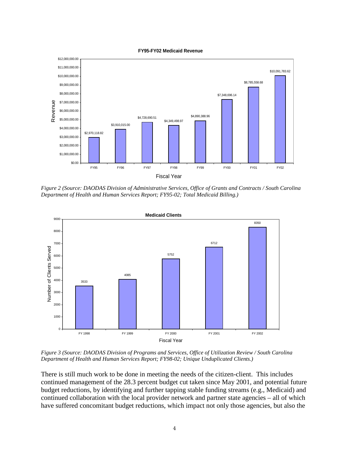



*Figure 2 (Source: DAODAS Division of Administrative Services, Office of Grants and Contracts / South Carolina Department of Health and Human Services Report; FY95-02; Total Medicaid Billing.)*



*Figure 3 (Source: DAODAS Division of Programs and Services, Office of Utilization Review / South Carolina Department of Health and Human Services Report; FY98-02; Unique Unduplicated Clients.)*

There is still much work to be done in meeting the needs of the citizen-client. This includes continued management of the 28.3 percent budget cut taken since May 2001, and potential future budget reductions, by identifying and further tapping stable funding streams (e.g., Medicaid) and continued collaboration with the local provider network and partner state agencies – all of which have suffered concomitant budget reductions, which impact not only those agencies, but also the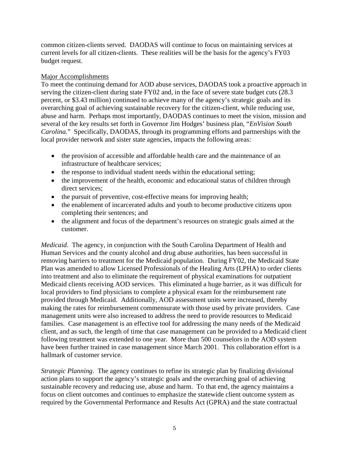common citizen-clients served. DAODAS will continue to focus on maintaining services at current levels for all citizen-clients. These realities will be the basis for the agency's FY03 budget request.

#### Major Accomplishments

To meet the continuing demand for AOD abuse services, DAODAS took a proactive approach in serving the citizen-client during state FY02 and, in the face of severe state budget cuts (28.3 percent, or \$3.43 million) continued to achieve many of the agency's strategic goals and its overarching goal of achieving sustainable recovery for the citizen-client, while reducing use, abuse and harm. Perhaps most importantly, DAODAS continues to meet the vision, mission and several of the key results set forth in Governor Jim Hodges' business plan, "*EnVision South Carolina*." Specifically, DAODAS, through its programming efforts and partnerships with the local provider network and sister state agencies, impacts the following areas:

- the provision of accessible and affordable health care and the maintenance of an infrastructure of healthcare services;
- the response to individual student needs within the educational setting;
- the improvement of the health, economic and educational status of children through direct services;
- the pursuit of preventive, cost-effective means for improving health;
- the enablement of incarcerated adults and youth to become productive citizens upon completing their sentences; and
- the alignment and focus of the department's resources on strategic goals aimed at the customer.

*Medicaid*. The agency, in conjunction with the South Carolina Department of Health and Human Services and the county alcohol and drug abuse authorities, has been successful in removing barriers to treatment for the Medicaid population. During FY02, the Medicaid State Plan was amended to allow Licensed Professionals of the Healing Arts (LPHA) to order clients into treatment and also to eliminate the requirement of physical examinations for outpatient Medicaid clients receiving AOD services. This eliminated a huge barrier, as it was difficult for local providers to find physicians to complete a physical exam for the reimbursement rate provided through Medicaid. Additionally, AOD assessment units were increased, thereby making the rates for reimbursement commensurate with those used by private providers. Case management units were also increased to address the need to provide resources to Medicaid families. Case management is an effective tool for addressing the many needs of the Medicaid client, and as such, the length of time that case management can be provided to a Medicaid client following treatment was extended to one year. More than 500 counselors in the AOD system have been further trained in case management since March 2001. This collaboration effort is a hallmark of customer service.

*Strategic Planning.* The agency continues to refine its strategic plan by finalizing divisional action plans to support the agency's strategic goals and the overarching goal of achieving sustainable recovery and reducing use, abuse and harm. To that end, the agency maintains a focus on client outcomes and continues to emphasize the statewide client outcome system as required by the Governmental Performance and Results Act (GPRA) and the state contractual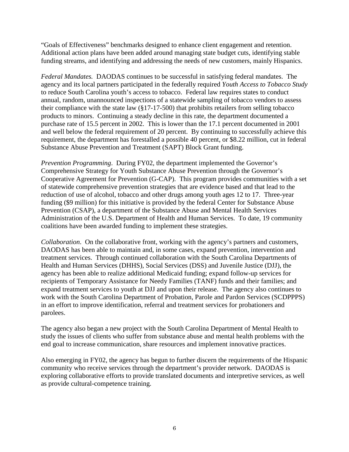"Goals of Effectiveness" benchmarks designed to enhance client engagement and retention. Additional action plans have been added around managing state budget cuts, identifying stable funding streams, and identifying and addressing the needs of new customers, mainly Hispanics.

*Federal Mandates.* DAODAS continues to be successful in satisfying federal mandates. The agency and its local partners participated in the federally required *Youth Access to Tobacco Study* to reduce South Carolina youth's access to tobacco. Federal law requires states to conduct annual, random, unannounced inspections of a statewide sampling of tobacco vendors to assess their compliance with the state law (§17-17-500) that prohibits retailers from selling tobacco products to minors. Continuing a steady decline in this rate, the department documented a purchase rate of 15.5 percent in 2002. This is lower than the 17.1 percent documented in 2001 and well below the federal requirement of 20 percent. By continuing to successfully achieve this requirement, the department has forestalled a possible 40 percent, or \$8.22 million, cut in federal Substance Abuse Prevention and Treatment (SAPT) Block Grant funding.

*Prevention Programming*. During FY02, the department implemented the Governor's Comprehensive Strategy for Youth Substance Abuse Prevention through the Governor's Cooperative Agreement for Prevention (G-CAP). This program provides communities with a set of statewide comprehensive prevention strategies that are evidence based and that lead to the reduction of use of alcohol, tobacco and other drugs among youth ages 12 to 17. Three-year funding (\$9 million) for this initiative is provided by the federal Center for Substance Abuse Prevention (CSAP), a department of the Substance Abuse and Mental Health Services Administration of the U.S. Department of Health and Human Services. To date, 19 community coalitions have been awarded funding to implement these strategies.

*Collaboration*. On the collaborative front, working with the agency's partners and customers, DAODAS has been able to maintain and, in some cases, expand prevention, intervention and treatment services. Through continued collaboration with the South Carolina Departments of Health and Human Services (DHHS), Social Services (DSS) and Juvenile Justice (DJJ), the agency has been able to realize additional Medicaid funding; expand follow-up services for recipients of Temporary Assistance for Needy Families (TANF) funds and their families; and expand treatment services to youth at DJJ and upon their release. The agency also continues to work with the South Carolina Department of Probation, Parole and Pardon Services (SCDPPPS) in an effort to improve identification, referral and treatment services for probationers and parolees.

The agency also began a new project with the South Carolina Department of Mental Health to study the issues of clients who suffer from substance abuse and mental health problems with the end goal to increase communication, share resources and implement innovative practices.

Also emerging in FY02, the agency has begun to further discern the requirements of the Hispanic community who receive services through the department's provider network. DAODAS is exploring collaborative efforts to provide translated documents and interpretive services, as well as provide cultural-competence training.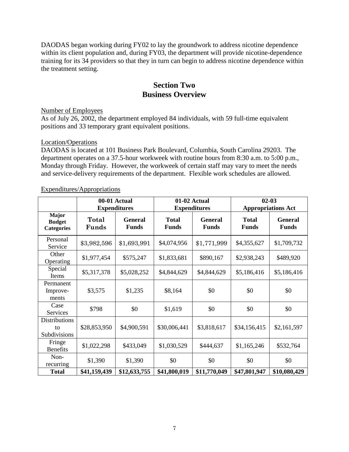DAODAS began working during FY02 to lay the groundwork to address nicotine dependence within its client population and, during FY03, the department will provide nicotine-dependence training for its 34 providers so that they in turn can begin to address nicotine dependence within the treatment setting.

## **Section Two Business Overview**

Number of Employees

As of July 26, 2002, the department employed 84 individuals, with 59 full-time equivalent positions and 33 temporary grant equivalent positions.

#### Location/Operations

DAODAS is located at 101 Business Park Boulevard, Columbia, South Carolina 29203. The department operates on a 37.5-hour workweek with routine hours from 8:30 a.m. to 5:00 p.m., Monday through Friday. However, the workweek of certain staff may vary to meet the needs and service-delivery requirements of the department. Flexible work schedules are allowed.

|                                                    |                | 00-01 Actual<br>01-02 Actual<br><b>Expenditures</b><br><b>Expenditures</b> |                              |                                | $02 - 03$<br><b>Appropriations Act</b> |                                |  |
|----------------------------------------------------|----------------|----------------------------------------------------------------------------|------------------------------|--------------------------------|----------------------------------------|--------------------------------|--|
| <b>Major</b><br><b>Budget</b><br><b>Categories</b> | Total<br>Funds | <b>General</b><br><b>Funds</b>                                             | <b>Total</b><br><b>Funds</b> | <b>General</b><br><b>Funds</b> |                                        | <b>General</b><br><b>Funds</b> |  |
| Personal<br>Service                                | \$3,982,596    | \$1,693,991                                                                | \$4,074,956                  | \$1,771,999                    | \$4,355,627                            | \$1,709,732                    |  |
| Other<br>Operating                                 | \$1,977,454    | \$575,247                                                                  | \$1,833,681                  | \$890,167                      |                                        | \$489,920                      |  |
| Special<br>Items                                   | \$5,317,378    | \$5,028,252                                                                | \$4,844,629                  | \$4,844,629                    | \$5,186,416                            | \$5,186,416                    |  |
| Permanent<br>Improve-<br>ments                     | \$3,575        | \$1,235                                                                    | \$8,164                      | \$0                            | \$0                                    | \$0                            |  |
| Case<br>Services                                   | \$798          | \$0                                                                        | \$1,619                      | \$0                            | \$0                                    | \$0                            |  |
| <b>Distributions</b><br>to<br>Subdivisions         | \$28,853,950   | \$4,900,591                                                                | \$30,006,441                 | \$3,818,617                    | \$34,156,415                           | \$2,161,597                    |  |
| Fringe<br><b>Benefits</b>                          | \$1,022,298    | \$433,049                                                                  | \$1,030,529                  | \$444,637                      | \$1,165,246                            | \$532,764                      |  |
| Non-<br>recurring                                  | \$1,390        | \$1,390                                                                    | \$0                          | \$0                            | \$0                                    | \$0                            |  |
| <b>Total</b>                                       | \$41,159,439   | \$12,633,755                                                               | \$41,800,019                 | \$11,770,049                   | \$47,801,947                           | \$10,080,429                   |  |

Expenditures/Appropriations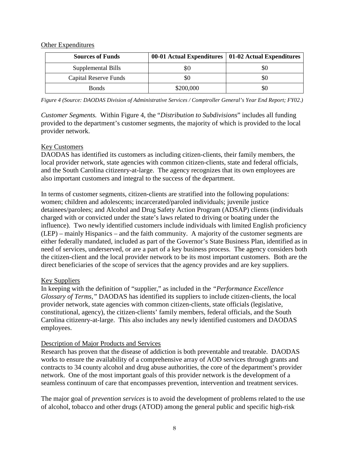#### Other Expenditures

| <b>Sources of Funds</b> |           | 00-01 Actual Expenditures   01-02 Actual Expenditures |
|-------------------------|-----------|-------------------------------------------------------|
| Supplemental Bills      | \$0       |                                                       |
| Capital Reserve Funds   | 50        |                                                       |
| <b>Bonds</b>            | \$200,000 |                                                       |

*Figure 4 (Source: DAODAS Division of Administrative Services / Comptroller General's Year End Report; FY02.)*

*Customer Segments.* Within Figure 4, the "*Distribution to Subdivisions*" includes all funding provided to the department's customer segments, the majority of which is provided to the local provider network.

#### Key Customers

DAODAS has identified its customers as including citizen-clients, their family members, the local provider network, state agencies with common citizen-clients, state and federal officials, and the South Carolina citizenry-at-large. The agency recognizes that its own employees are also important customers and integral to the success of the department.

In terms of customer segments, citizen-clients are stratified into the following populations: women; children and adolescents; incarcerated/paroled individuals; juvenile justice detainees/parolees; and Alcohol and Drug Safety Action Program (ADSAP) clients (individuals charged with or convicted under the state's laws related to driving or boating under the influence). Two newly identified customers include individuals with limited English proficiency (LEP) – mainly Hispanics – and the faith community. A majority of the customer segments are either federally mandated, included as part of the Governor's State Business Plan, identified as in need of services, underserved, or are a part of a key business process. The agency considers both the citizen-client and the local provider network to be its most important customers. Both are the direct beneficiaries of the scope of services that the agency provides and are key suppliers.

#### Key Suppliers

In keeping with the definition of "supplier," as included in the *"Performance Excellence Glossary of Terms*,*"* DAODAS has identified its suppliers to include citizen-clients, the local provider network, state agencies with common citizen-clients, state officials (legislative, constitutional, agency), the citizen-clients' family members, federal officials, and the South Carolina citizenry-at-large. This also includes any newly identified customers and DAODAS employees.

#### Description of Major Products and Services

Research has proven that the disease of addiction is both preventable and treatable. DAODAS works to ensure the availability of a comprehensive array of AOD services through grants and contracts to 34 county alcohol and drug abuse authorities, the core of the department's provider network. One of the most important goals of this provider network is the development of a seamless continuum of care that encompasses prevention, intervention and treatment services.

The major goal of *prevention services* is to avoid the development of problems related to the use of alcohol, tobacco and other drugs (ATOD) among the general public and specific high-risk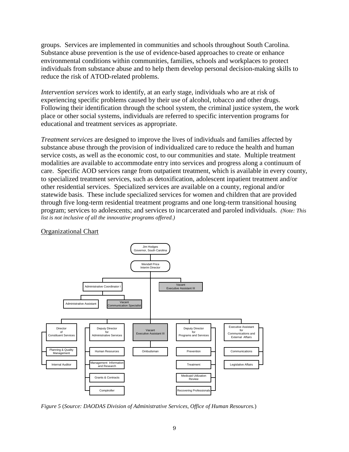groups. Services are implemented in communities and schools throughout South Carolina. Substance abuse prevention is the use of evidence-based approaches to create or enhance environmental conditions within communities, families, schools and workplaces to protect individuals from substance abuse and to help them develop personal decision-making skills to reduce the risk of ATOD-related problems.

*Intervention services* work to identify, at an early stage, individuals who are at risk of experiencing specific problems caused by their use of alcohol, tobacco and other drugs. Following their identification through the school system, the criminal justice system, the work place or other social systems, individuals are referred to specific intervention programs for educational and treatment services as appropriate.

*Treatment services* are designed to improve the lives of individuals and families affected by substance abuse through the provision of individualized care to reduce the health and human service costs, as well as the economic cost, to our communities and state. Multiple treatment modalities are available to accommodate entry into services and progress along a continuum of care. Specific AOD services range from outpatient treatment, which is available in every county, to specialized treatment services, such as detoxification, adolescent inpatient treatment and/or other residential services. Specialized services are available on a county, regional and/or statewide basis. These include specialized services for women and children that are provided through five long-term residential treatment programs and one long-term transitional housing program; services to adolescents; and services to incarcerated and paroled individuals. *(Note: This list is not inclusive of all the innovative programs offered.)*



#### Organizational Chart

*Figure 5* (*Source: DAODAS Division of Administrative Services, Office of Human Resources.*)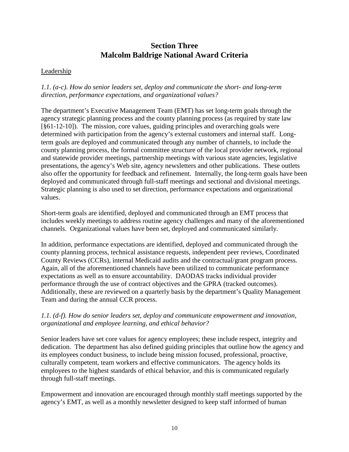## **Section Three Malcolm Baldrige National Award Criteria**

#### **Leadership**

### *1.1. (a-c). How do senior leaders set, deploy and communicate the short- and long-term direction, performance expectations, and organizational values?*

The department's Executive Management Team (EMT) has set long-term goals through the agency strategic planning process and the county planning process (as required by state law [§61-12-10]). The mission, core values, guiding principles and overarching goals were determined with participation from the agency's external customers and internal staff. Longterm goals are deployed and communicated through any number of channels, to include the county planning process, the formal committee structure of the local provider network, regional and statewide provider meetings, partnership meetings with various state agencies, legislative presentations, the agency's Web site, agency newsletters and other publications. These outlets also offer the opportunity for feedback and refinement. Internally, the long-term goals have been deployed and communicated through full-staff meetings and sectional and divisional meetings. Strategic planning is also used to set direction, performance expectations and organizational values.

Short-term goals are identified, deployed and communicated through an EMT process that includes weekly meetings to address routine agency challenges and many of the aforementioned channels. Organizational values have been set, deployed and communicated similarly.

In addition, performance expectations are identified, deployed and communicated through the county planning process, technical assistance requests, independent peer reviews, Coordinated County Reviews (CCRs), internal Medicaid audits and the contractual/grant program process. Again, all of the aforementioned channels have been utilized to communicate performance expectations as well as to ensure accountability. DAODAS tracks individual provider performance through the use of contract objectives and the GPRA (tracked outcomes). Additionally, these are reviewed on a quarterly basis by the department's Quality Management Team and during the annual CCR process.

#### *1.1. (d-f). How do senior leaders set, deploy and communicate empowerment and innovation, organizational and employee learning, and ethical behavior?*

Senior leaders have set core values for agency employees; these include respect, integrity and dedication. The department has also defined guiding principles that outline how the agency and its employees conduct business, to include being mission focused, professional, proactive, culturally competent, team workers and effective communicators. The agency holds its employees to the highest standards of ethical behavior, and this is communicated regularly through full-staff meetings.

Empowerment and innovation are encouraged through monthly staff meetings supported by the agency's EMT, as well as a monthly newsletter designed to keep staff informed of human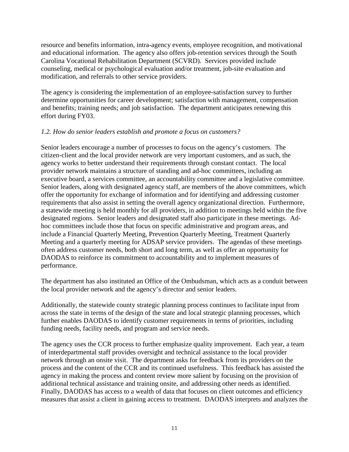resource and benefits information, intra-agency events, employee recognition, and motivational and educational information. The agency also offers job-retention services through the South Carolina Vocational Rehabilitation Department (SCVRD). Services provided include counseling, medical or psychological evaluation and/or treatment, job-site evaluation and modification, and referrals to other service providers.

The agency is considering the implementation of an employee-satisfaction survey to further determine opportunities for career development; satisfaction with management, compensation and benefits; training needs; and job satisfaction. The department anticipates renewing this effort during FY03.

#### *1.2. How do senior leaders establish and promote a focus on customers?*

Senior leaders encourage a number of processes to focus on the agency's customers. The citizen-client and the local provider network are very important customers, and as such, the agency works to better understand their requirements through constant contact. The local provider network maintains a structure of standing and ad-hoc committees, including an executive board, a services committee, an accountability committee and a legislative committee. Senior leaders, along with designated agency staff, are members of the above committees, which offer the opportunity for exchange of information and for identifying and addressing customer requirements that also assist in setting the overall agency organizational direction. Furthermore, a statewide meeting is held monthly for all providers, in addition to meetings held within the five designated regions. Senior leaders and designated staff also participate in these meetings. Adhoc committees include those that focus on specific administrative and program areas, and include a Financial Quarterly Meeting, Prevention Quarterly Meeting, Treatment Quarterly Meeting and a quarterly meeting for ADSAP service providers. The agendas of these meetings often address customer needs, both short and long term, as well as offer an opportunity for DAODAS to reinforce its commitment to accountability and to implement measures of performance.

The department has also instituted an Office of the Ombudsman, which acts as a conduit between the local provider network and the agency's director and senior leaders.

Additionally, the statewide county strategic planning process continues to facilitate input from across the state in terms of the design of the state and local strategic planning processes, which further enables DAODAS to identify customer requirements in terms of priorities, including funding needs, facility needs, and program and service needs.

The agency uses the CCR process to further emphasize quality improvement. Each year, a team of interdepartmental staff provides oversight and technical assistance to the local provider network through an onsite visit. The department asks for feedback from its providers on the process and the content of the CCR and its continued usefulness. This feedback has assisted the agency in making the process and content review more salient by focusing on the provision of additional technical assistance and training onsite, and addressing other needs as identified. Finally, DAODAS has access to a wealth of data that focuses on client outcomes and efficiency measures that assist a client in gaining access to treatment. DAODAS interprets and analyzes the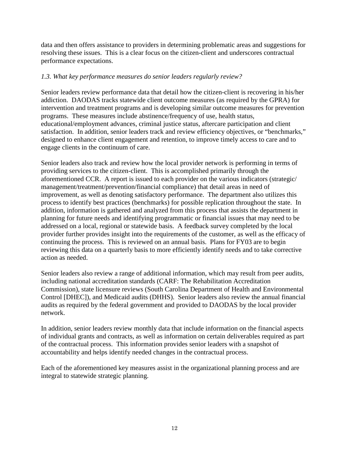data and then offers assistance to providers in determining problematic areas and suggestions for resolving these issues. This is a clear focus on the citizen-client and underscores contractual performance expectations.

#### *1.3. What key performance measures do senior leaders regularly review?*

Senior leaders review performance data that detail how the citizen-client is recovering in his/her addiction. DAODAS tracks statewide client outcome measures (as required by the GPRA) for intervention and treatment programs and is developing similar outcome measures for prevention programs. These measures include abstinence/frequency of use, health status, educational/employment advances, criminal justice status, aftercare participation and client satisfaction. In addition, senior leaders track and review efficiency objectives, or "benchmarks," designed to enhance client engagement and retention, to improve timely access to care and to engage clients in the continuum of care.

Senior leaders also track and review how the local provider network is performing in terms of providing services to the citizen-client. This is accomplished primarily through the aforementioned CCR. A report is issued to each provider on the various indicators (strategic/ management/treatment/prevention/financial compliance) that detail areas in need of improvement, as well as denoting satisfactory performance. The department also utilizes this process to identify best practices (benchmarks) for possible replication throughout the state. In addition, information is gathered and analyzed from this process that assists the department in planning for future needs and identifying programmatic or financial issues that may need to be addressed on a local, regional or statewide basis. A feedback survey completed by the local provider further provides insight into the requirements of the customer, as well as the efficacy of continuing the process. This is reviewed on an annual basis. Plans for FY03 are to begin reviewing this data on a quarterly basis to more efficiently identify needs and to take corrective action as needed.

Senior leaders also review a range of additional information, which may result from peer audits, including national accreditation standards (CARF: The Rehabilitation Accreditation Commission), state licensure reviews (South Carolina Department of Health and Environmental Control [DHEC]), and Medicaid audits (DHHS). Senior leaders also review the annual financial audits as required by the federal government and provided to DAODAS by the local provider network.

In addition, senior leaders review monthly data that include information on the financial aspects of individual grants and contracts, as well as information on certain deliverables required as part of the contractual process. This information provides senior leaders with a snapshot of accountability and helps identify needed changes in the contractual process.

Each of the aforementioned key measures assist in the organizational planning process and are integral to statewide strategic planning.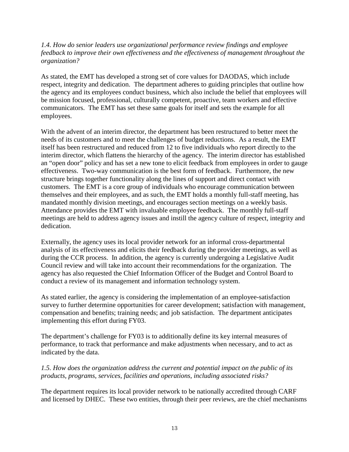#### *1.4. How do senior leaders use organizational performance review findings and employee feedback to improve their own effectiveness and the effectiveness of management throughout the organization?*

As stated, the EMT has developed a strong set of core values for DAODAS, which include respect, integrity and dedication. The department adheres to guiding principles that outline how the agency and its employees conduct business, which also include the belief that employees will be mission focused, professional, culturally competent, proactive, team workers and effective communicators. The EMT has set these same goals for itself and sets the example for all employees.

With the advent of an interim director, the department has been restructured to better meet the needs of its customers and to meet the challenges of budget reductions. As a result, the EMT itself has been restructured and reduced from 12 to five individuals who report directly to the interim director, which flattens the hierarchy of the agency. The interim director has established an "open door" policy and has set a new tone to elicit feedback from employees in order to gauge effectiveness. Two-way communication is the best form of feedback. Furthermore, the new structure brings together functionality along the lines of support and direct contact with customers. The EMT is a core group of individuals who encourage communication between themselves and their employees, and as such, the EMT holds a monthly full-staff meeting, has mandated monthly division meetings, and encourages section meetings on a weekly basis. Attendance provides the EMT with invaluable employee feedback. The monthly full-staff meetings are held to address agency issues and instill the agency culture of respect, integrity and dedication.

Externally, the agency uses its local provider network for an informal cross-departmental analysis of its effectiveness and elicits their feedback during the provider meetings, as well as during the CCR process. In addition, the agency is currently undergoing a Legislative Audit Council review and will take into account their recommendations for the organization. The agency has also requested the Chief Information Officer of the Budget and Control Board to conduct a review of its management and information technology system.

As stated earlier, the agency is considering the implementation of an employee-satisfaction survey to further determine opportunities for career development; satisfaction with management, compensation and benefits; training needs; and job satisfaction. The department anticipates implementing this effort during FY03.

The department's challenge for FY03 is to additionally define its key internal measures of performance, to track that performance and make adjustments when necessary, and to act as indicated by the data.

#### *1.5. How does the organization address the current and potential impact on the public of its products, programs, services, facilities and operations, including associated risks?*

The department requires its local provider network to be nationally accredited through CARF and licensed by DHEC. These two entities, through their peer reviews, are the chief mechanisms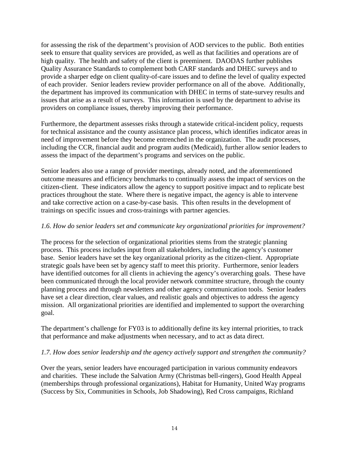for assessing the risk of the department's provision of AOD services to the public. Both entities seek to ensure that quality services are provided, as well as that facilities and operations are of high quality. The health and safety of the client is preeminent. DAODAS further publishes Quality Assurance Standards to complement both CARF standards and DHEC surveys and to provide a sharper edge on client quality-of-care issues and to define the level of quality expected of each provider. Senior leaders review provider performance on all of the above. Additionally, the department has improved its communication with DHEC in terms of state-survey results and issues that arise as a result of surveys. This information is used by the department to advise its providers on compliance issues, thereby improving their performance.

Furthermore, the department assesses risks through a statewide critical-incident policy, requests for technical assistance and the county assistance plan process, which identifies indicator areas in need of improvement before they become entrenched in the organization. The audit processes, including the CCR, financial audit and program audits (Medicaid), further allow senior leaders to assess the impact of the department's programs and services on the public.

Senior leaders also use a range of provider meetings, already noted, and the aforementioned outcome measures and efficiency benchmarks to continually assess the impact of services on the citizen-client. These indicators allow the agency to support positive impact and to replicate best practices throughout the state. Where there is negative impact, the agency is able to intervene and take corrective action on a case-by-case basis. This often results in the development of trainings on specific issues and cross-trainings with partner agencies.

#### *1.6. How do senior leaders set and communicate key organizational priorities for improvement?*

The process for the selection of organizational priorities stems from the strategic planning process. This process includes input from all stakeholders, including the agency's customer base. Senior leaders have set the key organizational priority as the citizen-client. Appropriate strategic goals have been set by agency staff to meet this priority. Furthermore, senior leaders have identified outcomes for all clients in achieving the agency's overarching goals. These have been communicated through the local provider network committee structure, through the county planning process and through newsletters and other agency communication tools. Senior leaders have set a clear direction, clear values, and realistic goals and objectives to address the agency mission. All organizational priorities are identified and implemented to support the overarching goal.

The department's challenge for FY03 is to additionally define its key internal priorities, to track that performance and make adjustments when necessary, and to act as data direct.

#### *1.7. How does senior leadership and the agency actively support and strengthen the community?*

Over the years, senior leaders have encouraged participation in various community endeavors and charities. These include the Salvation Army (Christmas bell-ringers), Good Health Appeal (memberships through professional organizations), Habitat for Humanity, United Way programs (Success by Six, Communities in Schools, Job Shadowing), Red Cross campaigns, Richland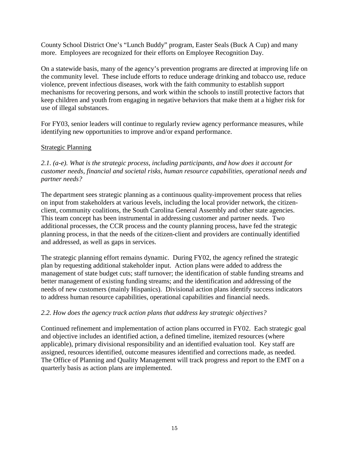County School District One's "Lunch Buddy" program, Easter Seals (Buck A Cup) and many more. Employees are recognized for their efforts on Employee Recognition Day.

On a statewide basis, many of the agency's prevention programs are directed at improving life on the community level. These include efforts to reduce underage drinking and tobacco use, reduce violence, prevent infectious diseases, work with the faith community to establish support mechanisms for recovering persons, and work within the schools to instill protective factors that keep children and youth from engaging in negative behaviors that make them at a higher risk for use of illegal substances.

For FY03, senior leaders will continue to regularly review agency performance measures, while identifying new opportunities to improve and/or expand performance.

## Strategic Planning

*2.1. (a-e). What is the strategic process, including participants, and how does it account for customer needs, financial and societal risks, human resource capabilities, operational needs and partner needs?*

The department sees strategic planning as a continuous quality-improvement process that relies on input from stakeholders at various levels, including the local provider network, the citizenclient, community coalitions, the South Carolina General Assembly and other state agencies. This team concept has been instrumental in addressing customer and partner needs. Two additional processes, the CCR process and the county planning process, have fed the strategic planning process, in that the needs of the citizen-client and providers are continually identified and addressed, as well as gaps in services.

The strategic planning effort remains dynamic. During FY02, the agency refined the strategic plan by requesting additional stakeholder input. Action plans were added to address the management of state budget cuts; staff turnover; the identification of stable funding streams and better management of existing funding streams; and the identification and addressing of the needs of new customers (mainly Hispanics). Divisional action plans identify success indicators to address human resource capabilities, operational capabilities and financial needs.

#### *2.2. How does the agency track action plans that address key strategic objectives?*

Continued refinement and implementation of action plans occurred in FY02. Each strategic goal and objective includes an identified action, a defined timeline, itemized resources (where applicable), primary divisional responsibility and an identified evaluation tool. Key staff are assigned, resources identified, outcome measures identified and corrections made, as needed. The Office of Planning and Quality Management will track progress and report to the EMT on a quarterly basis as action plans are implemented.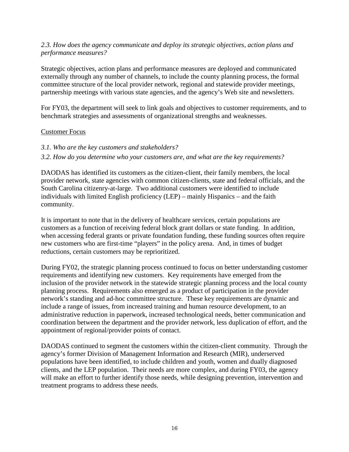#### *2.3. How does the agency communicate and deploy its strategic objectives, action plans and performance measures?*

Strategic objectives, action plans and performance measures are deployed and communicated externally through any number of channels, to include the county planning process, the formal committee structure of the local provider network, regional and statewide provider meetings, partnership meetings with various state agencies, and the agency's Web site and newsletters.

For FY03, the department will seek to link goals and objectives to customer requirements, and to benchmark strategies and assessments of organizational strengths and weaknesses.

#### Customer Focus

- *3.1. Who are the key customers and stakeholders?*
- *3.2. How do you determine who your customers are, and what are the key requirements?*

DAODAS has identified its customers as the citizen-client, their family members, the local provider network, state agencies with common citizen-clients, state and federal officials, and the South Carolina citizenry-at-large. Two additional customers were identified to include individuals with limited English proficiency (LEP) – mainly Hispanics – and the faith community.

It is important to note that in the delivery of healthcare services, certain populations are customers as a function of receiving federal block grant dollars or state funding. In addition, when accessing federal grants or private foundation funding, these funding sources often require new customers who are first-time "players" in the policy arena. And, in times of budget reductions, certain customers may be reprioritized.

During FY02, the strategic planning process continued to focus on better understanding customer requirements and identifying new customers. Key requirements have emerged from the inclusion of the provider network in the statewide strategic planning process and the local county planning process. Requirements also emerged as a product of participation in the provider network's standing and ad-hoc committee structure. These key requirements are dynamic and include a range of issues, from increased training and human resource development, to an administrative reduction in paperwork, increased technological needs, better communication and coordination between the department and the provider network, less duplication of effort, and the appointment of regional/provider points of contact.

DAODAS continued to segment the customers within the citizen-client community. Through the agency's former Division of Management Information and Research (MIR), underserved populations have been identified, to include children and youth, women and dually diagnosed clients, and the LEP population. Their needs are more complex, and during FY03, the agency will make an effort to further identify those needs, while designing prevention, intervention and treatment programs to address these needs.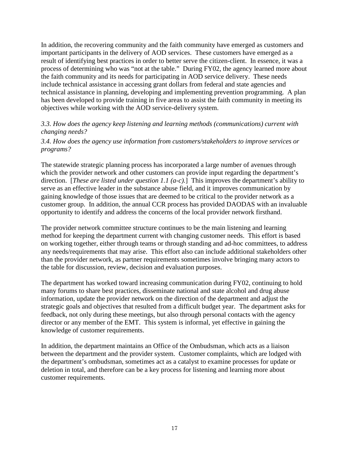In addition, the recovering community and the faith community have emerged as customers and important participants in the delivery of AOD services. These customers have emerged as a result of identifying best practices in order to better serve the citizen-client. In essence, it was a process of determining who was "not at the table." During FY02, the agency learned more about the faith community and its needs for participating in AOD service delivery. These needs include technical assistance in accessing grant dollars from federal and state agencies and technical assistance in planning, developing and implementing prevention programming. A plan has been developed to provide training in five areas to assist the faith community in meeting its objectives while working with the AOD service-delivery system.

#### *3.3. How does the agency keep listening and learning methods (communications) current with changing needs?*

#### *3.4. How does the agency use information from customers/stakeholders to improve services or programs?*

The statewide strategic planning process has incorporated a large number of avenues through which the provider network and other customers can provide input regarding the department's direction. [*These are listed under question 1.1 (a-c).*] This improves the department's ability to serve as an effective leader in the substance abuse field, and it improves communication by gaining knowledge of those issues that are deemed to be critical to the provider network as a customer group. In addition, the annual CCR process has provided DAODAS with an invaluable opportunity to identify and address the concerns of the local provider network firsthand.

The provider network committee structure continues to be the main listening and learning method for keeping the department current with changing customer needs. This effort is based on working together, either through teams or through standing and ad-hoc committees, to address any needs/requirements that may arise. This effort also can include additional stakeholders other than the provider network, as partner requirements sometimes involve bringing many actors to the table for discussion, review, decision and evaluation purposes.

The department has worked toward increasing communication during FY02, continuing to hold many forums to share best practices, disseminate national and state alcohol and drug abuse information, update the provider network on the direction of the department and adjust the strategic goals and objectives that resulted from a difficult budget year. The department asks for feedback, not only during these meetings, but also through personal contacts with the agency director or any member of the EMT. This system is informal, yet effective in gaining the knowledge of customer requirements.

In addition, the department maintains an Office of the Ombudsman, which acts as a liaison between the department and the provider system. Customer complaints, which are lodged with the department's ombudsman, sometimes act as a catalyst to examine processes for update or deletion in total, and therefore can be a key process for listening and learning more about customer requirements.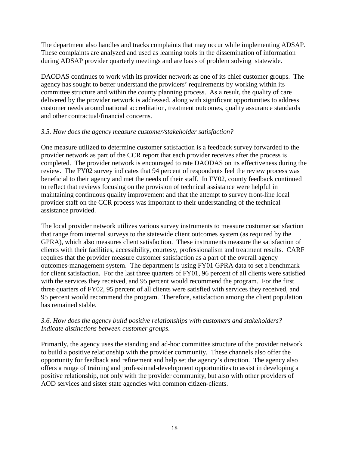The department also handles and tracks complaints that may occur while implementing ADSAP. These complaints are analyzed and used as learning tools in the dissemination of information during ADSAP provider quarterly meetings and are basis of problem solving statewide.

DAODAS continues to work with its provider network as one of its chief customer groups. The agency has sought to better understand the providers' requirements by working within its committee structure and within the county planning process. As a result, the quality of care delivered by the provider network is addressed, along with significant opportunities to address customer needs around national accreditation, treatment outcomes, quality assurance standards and other contractual/financial concerns.

#### *3.5. How does the agency measure customer/stakeholder satisfaction?*

One measure utilized to determine customer satisfaction is a feedback survey forwarded to the provider network as part of the CCR report that each provider receives after the process is completed. The provider network is encouraged to rate DAODAS on its effectiveness during the review. The FY02 survey indicates that 94 percent of respondents feel the review process was beneficial to their agency and met the needs of their staff. In FY02, county feedback continued to reflect that reviews focusing on the provision of technical assistance were helpful in maintaining continuous quality improvement and that the attempt to survey front-line local provider staff on the CCR process was important to their understanding of the technical assistance provided.

The local provider network utilizes various survey instruments to measure customer satisfaction that range from internal surveys to the statewide client outcomes system (as required by the GPRA), which also measures client satisfaction. These instruments measure the satisfaction of clients with their facilities, accessibility, courtesy, professionalism and treatment results. CARF requires that the provider measure customer satisfaction as a part of the overall agency outcomes-management system. The department is using FY01 GPRA data to set a benchmark for client satisfaction. For the last three quarters of FY01, 96 percent of all clients were satisfied with the services they received, and 95 percent would recommend the program. For the first three quarters of FY02, 95 percent of all clients were satisfied with services they received, and 95 percent would recommend the program. Therefore, satisfaction among the client population has remained stable.

#### *3.6. How does the agency build positive relationships with customers and stakeholders? Indicate distinctions between customer groups.*

Primarily, the agency uses the standing and ad-hoc committee structure of the provider network to build a positive relationship with the provider community. These channels also offer the opportunity for feedback and refinement and help set the agency's direction. The agency also offers a range of training and professional-development opportunities to assist in developing a positive relationship, not only with the provider community, but also with other providers of AOD services and sister state agencies with common citizen-clients.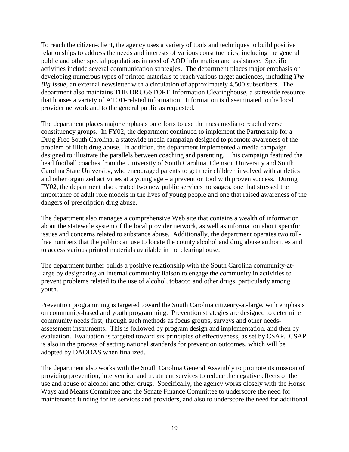To reach the citizen-client, the agency uses a variety of tools and techniques to build positive relationships to address the needs and interests of various constituencies, including the general public and other special populations in need of AOD information and assistance. Specific activities include several communication strategies. The department places major emphasis on developing numerous types of printed materials to reach various target audiences, including *The Big Issue*, an external newsletter with a circulation of approximately 4,500 subscribers. The department also maintains THE DRUGSTORE Information Clearinghouse, a statewide resource that houses a variety of ATOD-related information. Information is disseminated to the local provider network and to the general public as requested.

The department places major emphasis on efforts to use the mass media to reach diverse constituency groups. In FY02, the department continued to implement the Partnership for a Drug-Free South Carolina, a statewide media campaign designed to promote awareness of the problem of illicit drug abuse. In addition, the department implemented a media campaign designed to illustrate the parallels between coaching and parenting. This campaign featured the head football coaches from the University of South Carolina, Clemson University and South Carolina State University, who encouraged parents to get their children involved with athletics and other organized activities at a young age – a prevention tool with proven success. During FY02, the department also created two new public services messages, one that stressed the importance of adult role models in the lives of young people and one that raised awareness of the dangers of prescription drug abuse.

The department also manages a comprehensive Web site that contains a wealth of information about the statewide system of the local provider network, as well as information about specific issues and concerns related to substance abuse. Additionally, the department operates two tollfree numbers that the public can use to locate the county alcohol and drug abuse authorities and to access various printed materials available in the clearinghouse.

The department further builds a positive relationship with the South Carolina community-atlarge by designating an internal community liaison to engage the community in activities to prevent problems related to the use of alcohol, tobacco and other drugs, particularly among youth.

Prevention programming is targeted toward the South Carolina citizenry-at-large, with emphasis on community-based and youth programming. Prevention strategies are designed to determine community needs first, through such methods as focus groups, surveys and other needsassessment instruments. This is followed by program design and implementation, and then by evaluation. Evaluation is targeted toward six principles of effectiveness, as set by CSAP. CSAP is also in the process of setting national standards for prevention outcomes, which will be adopted by DAODAS when finalized.

The department also works with the South Carolina General Assembly to promote its mission of providing prevention, intervention and treatment services to reduce the negative effects of the use and abuse of alcohol and other drugs. Specifically, the agency works closely with the House Ways and Means Committee and the Senate Finance Committee to underscore the need for maintenance funding for its services and providers, and also to underscore the need for additional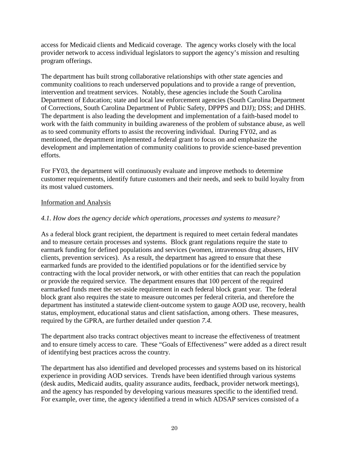access for Medicaid clients and Medicaid coverage. The agency works closely with the local provider network to access individual legislators to support the agency's mission and resulting program offerings.

The department has built strong collaborative relationships with other state agencies and community coalitions to reach underserved populations and to provide a range of prevention, intervention and treatment services. Notably, these agencies include the South Carolina Department of Education; state and local law enforcement agencies (South Carolina Department of Corrections, South Carolina Department of Public Safety, DPPPS and DJJ); DSS; and DHHS. The department is also leading the development and implementation of a faith-based model to work with the faith community in building awareness of the problem of substance abuse, as well as to seed community efforts to assist the recovering individual. During FY02, and as mentioned, the department implemented a federal grant to focus on and emphasize the development and implementation of community coalitions to provide science-based prevention efforts.

For FY03, the department will continuously evaluate and improve methods to determine customer requirements, identify future customers and their needs, and seek to build loyalty from its most valued customers.

#### Information and Analysis

#### *4.1. How does the agency decide which operations, processes and systems to measure?*

As a federal block grant recipient, the department is required to meet certain federal mandates and to measure certain processes and systems. Block grant regulations require the state to earmark funding for defined populations and services (women, intravenous drug abusers, HIV clients, prevention services). As a result, the department has agreed to ensure that these earmarked funds are provided to the identified populations or for the identified service by contracting with the local provider network, or with other entities that can reach the population or provide the required service. The department ensures that 100 percent of the required earmarked funds meet the set-aside requirement in each federal block grant year. The federal block grant also requires the state to measure outcomes per federal criteria, and therefore the department has instituted a statewide client-outcome system to gauge AOD use, recovery, health status, employment, educational status and client satisfaction, among others. These measures, required by the GPRA, are further detailed under question *7.4.*

The department also tracks contract objectives meant to increase the effectiveness of treatment and to ensure timely access to care. These "Goals of Effectiveness" were added as a direct result of identifying best practices across the country.

The department has also identified and developed processes and systems based on its historical experience in providing AOD services. Trends have been identified through various systems (desk audits, Medicaid audits, quality assurance audits, feedback, provider network meetings), and the agency has responded by developing various measures specific to the identified trend. For example, over time, the agency identified a trend in which ADSAP services consisted of a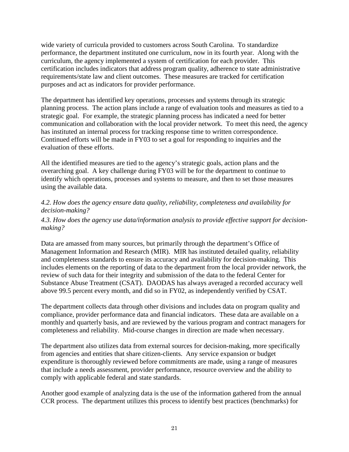wide variety of curricula provided to customers across South Carolina. To standardize performance, the department instituted one curriculum, now in its fourth year. Along with the curriculum, the agency implemented a system of certification for each provider. This certification includes indicators that address program quality, adherence to state administrative requirements/state law and client outcomes. These measures are tracked for certification purposes and act as indicators for provider performance.

The department has identified key operations, processes and systems through its strategic planning process. The action plans include a range of evaluation tools and measures as tied to a strategic goal. For example, the strategic planning process has indicated a need for better communication and collaboration with the local provider network. To meet this need, the agency has instituted an internal process for tracking response time to written correspondence. Continued efforts will be made in FY03 to set a goal for responding to inquiries and the evaluation of these efforts.

All the identified measures are tied to the agency's strategic goals, action plans and the overarching goal. A key challenge during FY03 will be for the department to continue to identify which operations, processes and systems to measure, and then to set those measures using the available data.

#### *4.2. How does the agency ensure data quality, reliability, completeness and availability for decision-making?*

#### *4.3. How does the agency use data/information analysis to provide effective support for decisionmaking?*

Data are amassed from many sources, but primarily through the department's Office of Management Information and Research (MIR). MIR has instituted detailed quality, reliability and completeness standards to ensure its accuracy and availability for decision-making. This includes elements on the reporting of data to the department from the local provider network, the review of such data for their integrity and submission of the data to the federal Center for Substance Abuse Treatment (CSAT). DAODAS has always averaged a recorded accuracy well above 99.5 percent every month, and did so in FY02, as independently verified by CSAT.

The department collects data through other divisions and includes data on program quality and compliance, provider performance data and financial indicators. These data are available on a monthly and quarterly basis, and are reviewed by the various program and contract managers for completeness and reliability. Mid-course changes in direction are made when necessary.

The department also utilizes data from external sources for decision-making, more specifically from agencies and entities that share citizen-clients. Any service expansion or budget expenditure is thoroughly reviewed before commitments are made, using a range of measures that include a needs assessment, provider performance, resource overview and the ability to comply with applicable federal and state standards.

Another good example of analyzing data is the use of the information gathered from the annual CCR process. The department utilizes this process to identify best practices (benchmarks) for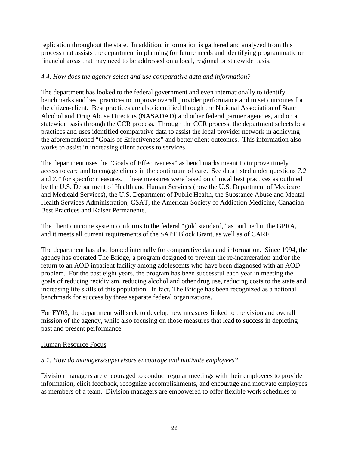replication throughout the state. In addition, information is gathered and analyzed from this process that assists the department in planning for future needs and identifying programmatic or financial areas that may need to be addressed on a local, regional or statewide basis.

#### *4.4. How does the agency select and use comparative data and information?*

The department has looked to the federal government and even internationally to identify benchmarks and best practices to improve overall provider performance and to set outcomes for the citizen-client. Best practices are also identified through the National Association of State Alcohol and Drug Abuse Directors (NASADAD) and other federal partner agencies, and on a statewide basis through the CCR process. Through the CCR process, the department selects best practices and uses identified comparative data to assist the local provider network in achieving the aforementioned "Goals of Effectiveness" and better client outcomes. This information also works to assist in increasing client access to services.

The department uses the "Goals of Effectiveness" as benchmarks meant to improve timely access to care and to engage clients in the continuum of care. See data listed under questions *7.2* and *7.4* for specific measures. These measures were based on clinical best practices as outlined by the U.S. Department of Health and Human Services (now the U.S. Department of Medicare and Medicaid Services), the U.S. Department of Public Health, the Substance Abuse and Mental Health Services Administration, CSAT, the American Society of Addiction Medicine, Canadian Best Practices and Kaiser Permanente.

The client outcome system conforms to the federal "gold standard," as outlined in the GPRA, and it meets all current requirements of the SAPT Block Grant, as well as of CARF.

The department has also looked internally for comparative data and information. Since 1994, the agency has operated The Bridge, a program designed to prevent the re-incarceration and/or the return to an AOD inpatient facility among adolescents who have been diagnosed with an AOD problem. For the past eight years, the program has been successful each year in meeting the goals of reducing recidivism, reducing alcohol and other drug use, reducing costs to the state and increasing life skills of this population. In fact, The Bridge has been recognized as a national benchmark for success by three separate federal organizations.

For FY03, the department will seek to develop new measures linked to the vision and overall mission of the agency, while also focusing on those measures that lead to success in depicting past and present performance.

#### Human Resource Focus

#### *5.1. How do managers/supervisors encourage and motivate employees?*

Division managers are encouraged to conduct regular meetings with their employees to provide information, elicit feedback, recognize accomplishments, and encourage and motivate employees as members of a team. Division managers are empowered to offer flexible work schedules to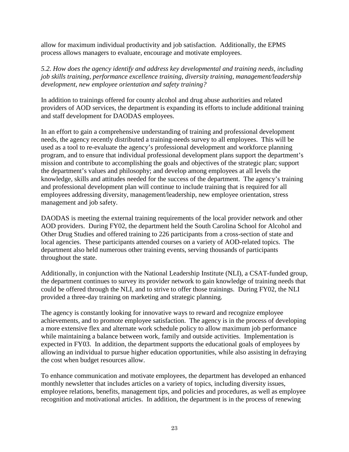allow for maximum individual productivity and job satisfaction. Additionally, the EPMS process allows managers to evaluate, encourage and motivate employees.

*5.2. How does the agency identify and address key developmental and training needs, including job skills training, performance excellence training, diversity training, management/leadership development, new employee orientation and safety training?*

In addition to trainings offered for county alcohol and drug abuse authorities and related providers of AOD services, the department is expanding its efforts to include additional training and staff development for DAODAS employees.

In an effort to gain a comprehensive understanding of training and professional development needs, the agency recently distributed a training-needs survey to all employees. This will be used as a tool to re-evaluate the agency's professional development and workforce planning program, and to ensure that individual professional development plans support the department's mission and contribute to accomplishing the goals and objectives of the strategic plan; support the department's values and philosophy; and develop among employees at all levels the knowledge, skills and attitudes needed for the success of the department. The agency's training and professional development plan will continue to include training that is required for all employees addressing diversity, management/leadership, new employee orientation, stress management and job safety.

DAODAS is meeting the external training requirements of the local provider network and other AOD providers. During FY02, the department held the South Carolina School for Alcohol and Other Drug Studies and offered training to 226 participants from a cross-section of state and local agencies. These participants attended courses on a variety of AOD-related topics. The department also held numerous other training events, serving thousands of participants throughout the state.

Additionally, in conjunction with the National Leadership Institute (NLI), a CSAT-funded group, the department continues to survey its provider network to gain knowledge of training needs that could be offered through the NLI, and to strive to offer those trainings. During FY02, the NLI provided a three-day training on marketing and strategic planning.

The agency is constantly looking for innovative ways to reward and recognize employee achievements, and to promote employee satisfaction. The agency is in the process of developing a more extensive flex and alternate work schedule policy to allow maximum job performance while maintaining a balance between work, family and outside activities. Implementation is expected in FY03. In addition, the department supports the educational goals of employees by allowing an individual to pursue higher education opportunities, while also assisting in defraying the cost when budget resources allow.

To enhance communication and motivate employees, the department has developed an enhanced monthly newsletter that includes articles on a variety of topics, including diversity issues, employee relations, benefits, management tips, and policies and procedures, as well as employee recognition and motivational articles. In addition, the department is in the process of renewing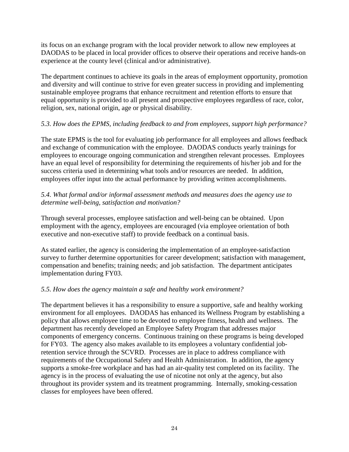its focus on an exchange program with the local provider network to allow new employees at DAODAS to be placed in local provider offices to observe their operations and receive hands-on experience at the county level (clinical and/or administrative).

The department continues to achieve its goals in the areas of employment opportunity, promotion and diversity and will continue to strive for even greater success in providing and implementing sustainable employee programs that enhance recruitment and retention efforts to ensure that equal opportunity is provided to all present and prospective employees regardless of race, color, religion, sex, national origin, age or physical disability.

### *5.3. How does the EPMS, including feedback to and from employees, support high performance?*

The state EPMS is the tool for evaluating job performance for all employees and allows feedback and exchange of communication with the employee. DAODAS conducts yearly trainings for employees to encourage ongoing communication and strengthen relevant processes. Employees have an equal level of responsibility for determining the requirements of his/her job and for the success criteria used in determining what tools and/or resources are needed. In addition, employees offer input into the actual performance by providing written accomplishments.

#### *5.4. What formal and/or informal assessment methods and measures does the agency use to determine well-being, satisfaction and motivation?*

Through several processes, employee satisfaction and well-being can be obtained. Upon employment with the agency, employees are encouraged (via employee orientation of both executive and non-executive staff) to provide feedback on a continual basis.

As stated earlier, the agency is considering the implementation of an employee-satisfaction survey to further determine opportunities for career development; satisfaction with management, compensation and benefits; training needs; and job satisfaction. The department anticipates implementation during FY03.

#### *5.5. How does the agency maintain a safe and healthy work environment?*

The department believes it has a responsibility to ensure a supportive, safe and healthy working environment for all employees. DAODAS has enhanced its Wellness Program by establishing a policy that allows employee time to be devoted to employee fitness, health and wellness. The department has recently developed an Employee Safety Program that addresses major components of emergency concerns. Continuous training on these programs is being developed for FY03. The agency also makes available to its employees a voluntary confidential jobretention service through the SCVRD. Processes are in place to address compliance with requirements of the Occupational Safety and Health Administration. In addition, the agency supports a smoke-free workplace and has had an air-quality test completed on its facility. The agency is in the process of evaluating the use of nicotine not only at the agency, but also throughout its provider system and its treatment programming. Internally, smoking-cessation classes for employees have been offered.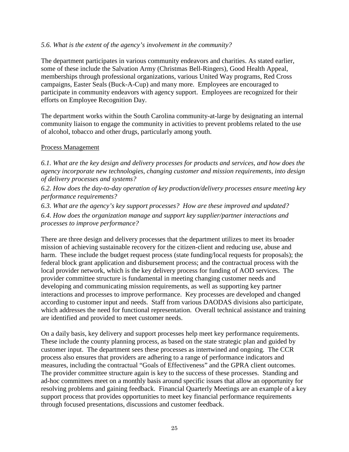#### *5.6. What is the extent of the agency's involvement in the community?*

The department participates in various community endeavors and charities. As stated earlier, some of these include the Salvation Army (Christmas Bell-Ringers), Good Health Appeal, memberships through professional organizations, various United Way programs, Red Cross campaigns, Easter Seals (Buck-A-Cup) and many more. Employees are encouraged to participate in community endeavors with agency support. Employees are recognized for their efforts on Employee Recognition Day.

The department works within the South Carolina community-at-large by designating an internal community liaison to engage the community in activities to prevent problems related to the use of alcohol, tobacco and other drugs, particularly among youth.

#### Process Management

*6.1. What are the key design and delivery processes for products and services, and how does the agency incorporate new technologies, changing customer and mission requirements, into design of delivery processes and systems?*

*6.2. How does the day-to-day operation of key production/delivery processes ensure meeting key performance requirements?*

*6.3. What are the agency's key support processes? How are these improved and updated? 6.4. How does the organization manage and support key supplier/partner interactions and processes to improve performance?*

There are three design and delivery processes that the department utilizes to meet its broader mission of achieving sustainable recovery for the citizen-client and reducing use, abuse and harm. These include the budget request process (state funding/local requests for proposals); the federal block grant application and disbursement process; and the contractual process with the local provider network, which is the key delivery process for funding of AOD services. The provider committee structure is fundamental in meeting changing customer needs and developing and communicating mission requirements, as well as supporting key partner interactions and processes to improve performance. Key processes are developed and changed according to customer input and needs. Staff from various DAODAS divisions also participate, which addresses the need for functional representation. Overall technical assistance and training are identified and provided to meet customer needs.

On a daily basis, key delivery and support processes help meet key performance requirements. These include the county planning process, as based on the state strategic plan and guided by customer input. The department sees these processes as intertwined and ongoing. The CCR process also ensures that providers are adhering to a range of performance indicators and measures, including the contractual "Goals of Effectiveness" and the GPRA client outcomes. The provider committee structure again is key to the success of these processes. Standing and ad-hoc committees meet on a monthly basis around specific issues that allow an opportunity for resolving problems and gaining feedback. Financial Quarterly Meetings are an example of a key support process that provides opportunities to meet key financial performance requirements through focused presentations, discussions and customer feedback.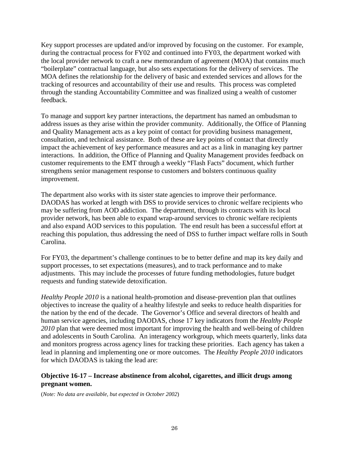Key support processes are updated and/or improved by focusing on the customer. For example, during the contractual process for FY02 and continued into FY03, the department worked with the local provider network to craft a new memorandum of agreement (MOA) that contains much "boilerplate" contractual language, but also sets expectations for the delivery of services. The MOA defines the relationship for the delivery of basic and extended services and allows for the tracking of resources and accountability of their use and results. This process was completed through the standing Accountability Committee and was finalized using a wealth of customer feedback.

To manage and support key partner interactions, the department has named an ombudsman to address issues as they arise within the provider community. Additionally, the Office of Planning and Quality Management acts as a key point of contact for providing business management, consultation, and technical assistance. Both of these are key points of contact that directly impact the achievement of key performance measures and act as a link in managing key partner interactions. In addition, the Office of Planning and Quality Management provides feedback on customer requirements to the EMT through a weekly "Flash Facts" document, which further strengthens senior management response to customers and bolsters continuous quality improvement.

The department also works with its sister state agencies to improve their performance. DAODAS has worked at length with DSS to provide services to chronic welfare recipients who may be suffering from AOD addiction. The department, through its contracts with its local provider network, has been able to expand wrap-around services to chronic welfare recipients and also expand AOD services to this population. The end result has been a successful effort at reaching this population, thus addressing the need of DSS to further impact welfare rolls in South Carolina.

For FY03, the department's challenge continues to be to better define and map its key daily and support processes, to set expectations (measures), and to track performance and to make adjustments. This may include the processes of future funding methodologies, future budget requests and funding statewide detoxification.

*Healthy People 2010* is a national health-promotion and disease-prevention plan that outlines objectives to increase the quality of a healthy lifestyle and seeks to reduce health disparities for the nation by the end of the decade. The Governor's Office and several directors of health and human service agencies, including DAODAS, chose 17 key indicators from the *Healthy People 2010* plan that were deemed most important for improving the health and well-being of children and adolescents in South Carolina. An interagency workgroup, which meets quarterly, links data and monitors progress across agency lines for tracking these priorities. Each agency has taken a lead in planning and implementing one or more outcomes. The *Healthy People 2010* indicators for which DAODAS is taking the lead are:

#### **Objective 16-17 – Increase abstinence from alcohol, cigarettes, and illicit drugs among pregnant women.**

(*Note: No data are available, but expected in October 2002*)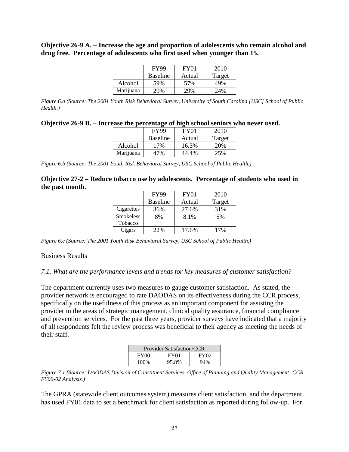#### **Objective 26-9 A. – Increase the age and proportion of adolescents who remain alcohol and drug free. Percentage of adolescents who first used when younger than 15.**

|           | <b>FY99</b>     | FY01   | 2010            |
|-----------|-----------------|--------|-----------------|
|           | <b>Baseline</b> | Actual | Target          |
| Alcohol   | 59%             | 57%    | 49%             |
| Marijuana | 29%             | 29%    | 24 <sup>%</sup> |

*Figure 6.a (Source: The 2001 Youth Risk Behavioral Survey, University of South Carolina [USC] School of Public Health.)*

| Objective 26-9 B. – Increase the percentage of high school seniors who never used. |  |  |
|------------------------------------------------------------------------------------|--|--|
|                                                                                    |  |  |

|           | <b>FY99</b>     | FY01   | 2010   |
|-----------|-----------------|--------|--------|
|           | <b>Baseline</b> | Actual | Target |
| Alcohol   | 17%             | 16.3%  | 20%    |
| Marijuana | 17%             | 44.4%  | 25%    |

*Figure 6.b (Source: The 2001 Youth Risk Behavioral Survey, USC School of Public Health.)*

#### **Objective 27-2 – Reduce tobacco use by adolescents. Percentage of students who used in the past month.**

|                  | <b>FY99</b>     | <b>FY01</b> | 2010   |
|------------------|-----------------|-------------|--------|
|                  | <b>Baseline</b> | Actual      | Target |
| Cigarettes       | 36%             | 27.6%       | 31%    |
| <b>Smokeless</b> | 8%              | 8.1%        | 5%     |
| Tobacco          |                 |             |        |
| Cigars           | 22%             | 17.6%       | 17%    |

*Figure 6.c (Source: The 2001 Youth Risk Behavioral Survey, USC School of Public Health.)*

#### Business Results

#### *7.1. What are the performance levels and trends for key measures of customer satisfaction?*

The department currently uses two measures to gauge customer satisfaction. As stated, the provider network is encouraged to rate DAODAS on its effectiveness during the CCR process, specifically on the usefulness of this process as an important component for assisting the provider in the areas of strategic management, clinical quality assurance, financial compliance and prevention services. For the past three years, provider surveys have indicated that a majority of all respondents felt the review process was beneficial to their agency as meeting the needs of their staff.

| <b>Provider Satisfaction/CCR</b> |       |  |  |  |  |  |
|----------------------------------|-------|--|--|--|--|--|
| <b>FY00</b>                      | FY02  |  |  |  |  |  |
| 100%                             | 95.8% |  |  |  |  |  |

*Figure 7.1 (Source: DAODAS Division of Constituent Services, Office of Planning and Quality Management; CCR FY00-02 Analysis.)*

The GPRA (statewide client outcomes system) measures client satisfaction, and the department has used FY01 data to set a benchmark for client satisfaction as reported during follow-up. For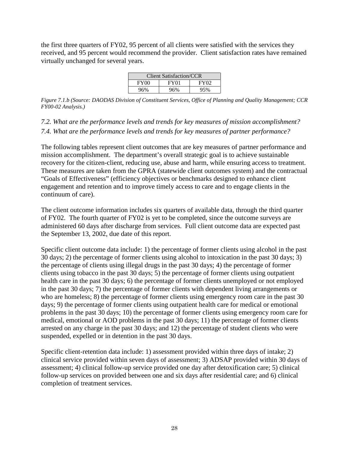the first three quarters of FY02, 95 percent of all clients were satisfied with the services they received, and 95 percent would recommend the provider. Client satisfaction rates have remained virtually unchanged for several years.

| <b>Client Satisfaction/CCR</b> |                  |                  |  |  |  |  |
|--------------------------------|------------------|------------------|--|--|--|--|
| FY00                           | FY <sub>01</sub> | FY <sub>02</sub> |  |  |  |  |
| 96%                            | 96%              | 95%              |  |  |  |  |

*Figure 7.1.b (Source: DAODAS Division of Constituent Services, Office of Planning and Quality Management; CCR FY00-02 Analysis.)*

*7.2. What are the performance levels and trends for key measures of mission accomplishment? 7.4. What are the performance levels and trends for key measures of partner performance?*

The following tables represent client outcomes that are key measures of partner performance and mission accomplishment. The department's overall strategic goal is to achieve sustainable recovery for the citizen-client, reducing use, abuse and harm, while ensuring access to treatment. These measures are taken from the GPRA (statewide client outcomes system) and the contractual "Goals of Effectiveness" (efficiency objectives or benchmarks designed to enhance client engagement and retention and to improve timely access to care and to engage clients in the continuum of care).

The client outcome information includes six quarters of available data, through the third quarter of FY02. The fourth quarter of FY02 is yet to be completed, since the outcome surveys are administered 60 days after discharge from services. Full client outcome data are expected past the September 13, 2002, due date of this report.

Specific client outcome data include: 1) the percentage of former clients using alcohol in the past 30 days; 2) the percentage of former clients using alcohol to intoxication in the past 30 days; 3) the percentage of clients using illegal drugs in the past 30 days; 4) the percentage of former clients using tobacco in the past 30 days; 5) the percentage of former clients using outpatient health care in the past 30 days; 6) the percentage of former clients unemployed or not employed in the past 30 days; 7) the percentage of former clients with dependent living arrangements or who are homeless; 8) the percentage of former clients using emergency room care in the past 30 days; 9) the percentage of former clients using outpatient health care for medical or emotional problems in the past 30 days; 10) the percentage of former clients using emergency room care for medical, emotional or AOD problems in the past 30 days; 11) the percentage of former clients arrested on any charge in the past 30 days; and 12) the percentage of student clients who were suspended, expelled or in detention in the past 30 days.

Specific client-retention data include: 1) assessment provided within three days of intake; 2) clinical service provided within seven days of assessment; 3) ADSAP provided within 30 days of assessment; 4) clinical follow-up service provided one day after detoxification care; 5) clinical follow-up services on provided between one and six days after residential care; and 6) clinical completion of treatment services.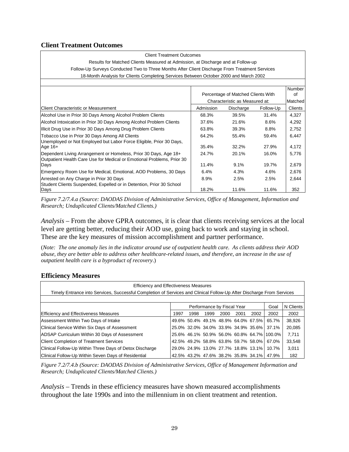#### **Client Treatment Outcomes**

#### Client Treatment Outcomes

Results for Matched Clients Measured at Admission, at Discharge and at Follow-up Follow-Up Surveys Conducted Two to Three Months After Client Discharge From Treatment Services 18-Month Analysis for Clients Completing Services Between October 2000 and March 2002

|                                                                                                                                            |           | Percentage of Matched Clients With | <b>Number</b><br>οf |         |  |
|--------------------------------------------------------------------------------------------------------------------------------------------|-----------|------------------------------------|---------------------|---------|--|
|                                                                                                                                            |           | Characteristic as Measured at:     |                     |         |  |
| <b>Client Characteristic or Measurement</b>                                                                                                | Admission | Discharge                          | Follow-Up           | Clients |  |
| Alcohol Use in Prior 30 Days Among Alcohol Problem Clients                                                                                 | 68.3%     | 39.5%                              | 31.4%               | 4,327   |  |
| Alcohol Intoxication in Prior 30 Days Among Alcohol Problem Clients                                                                        | 37.6%     | 21.6%                              | 8.6%                | 4,292   |  |
| Illicit Drug Use in Prior 30 Days Among Drug Problem Clients                                                                               | 63.8%     | 39.3%                              | 8.8%                | 2,752   |  |
| Tobacco Use in Prior 30 Days Among All Clients<br>Unemployed or Not Employed but Labor Force Eligible, Prior 30 Days,                      | 64.2%     | 55.4%                              | 59.4%               | 6,447   |  |
| Age $16+$                                                                                                                                  | 35.4%     | 32.2%                              | 27.9%               | 4,172   |  |
| Dependent Living Arrangement or Homeless, Prior 30 Days, Age 18+<br>Outpatient Health Care Use for Medical or Emotional Problems, Prior 30 | 24.7%     | 20.1%                              | 16.0%               | 5,776   |  |
| Days                                                                                                                                       | 11.4%     | 9.1%                               | 19.7%               | 2,679   |  |
| Emergency Room Use for Medical, Emotional, AOD Problems, 30 Days                                                                           | 6.4%      | 4.3%                               | 4.6%                | 2,676   |  |
| Arrested on Any Charge in Prior 30 Days<br>Student Clients Suspended, Expelled or in Detention, Prior 30 School                            | 8.9%      | 2.5%                               | 2.5%                | 2,644   |  |
| Days                                                                                                                                       | 18.2%     | 11.6%                              | 11.6%               | 352     |  |

*Figure 7.2/7.4.a (Source: DAODAS Division of Administrative Services, Office of Management, Information and Research; Unduplicated Clients/Matched Clients.)*

*Analysis* – From the above GPRA outcomes, it is clear that clients receiving services at the local level are getting better, reducing their AOD use, going back to work and staying in school. These are the key measures of mission accomplishment and partner performance.

(*Note: The one anomaly lies in the indicator around use of outpatient health care. As clients address their AOD abuse, they are better able to address other healthcare-related issues, and therefore, an increase in the use of outpatient health care is a byproduct of recovery*.)

#### **Efficiency Measures**

| <b>Efficiency and Effectiveness Measures</b>                                                                          |      |      |      |                            |      |                                     |                                            |           |
|-----------------------------------------------------------------------------------------------------------------------|------|------|------|----------------------------|------|-------------------------------------|--------------------------------------------|-----------|
| Timely Entrance into Services, Successful Completion of Services and Clinical Follow-Up After Discharge From Services |      |      |      |                            |      |                                     |                                            |           |
|                                                                                                                       |      |      |      |                            |      |                                     |                                            |           |
|                                                                                                                       |      |      |      | Performance by Fiscal Year |      |                                     | Goal                                       | N Clients |
| Efficiency and Effectiveness Measures                                                                                 | 1997 | 1998 | 1999 | 2000                       | 2001 | 2002                                | 2002                                       | 2002      |
| Assessment Within Two Days of Intake                                                                                  |      |      |      |                            |      |                                     | 49.6% 50.4% 49.1% 48.9% 64.0% 67.5% 65.7%  | 38,926    |
| Clinical Service Within Six Days of Assessment                                                                        |      |      |      |                            |      |                                     | 25.0% 32.0% 34.0% 33.9% 34.9% 35.6% 37.1%  | 20,085    |
| ADSAP Curriculum Within 30 Days of Assessment                                                                         |      |      |      |                            |      |                                     | 25.6% 46.1% 50.9% 56.0% 60.8% 64.7% 100.0% | 7,711     |
| <b>Client Completion of Treatment Services</b>                                                                        |      |      |      |                            |      | 42.5% 49.2% 58.8% 63.8% 59.7% 58.0% | 67.0%                                      | 33,548    |
| Clinical Follow-Up Within Three Days of Detox Discharge                                                               |      |      |      |                            |      | 29.0% 24.9% 13.0% 27.7% 18.8% 13.1% | 10.7%                                      | 3,011     |
| Clinical Follow-Up Within Seven Days of Residential                                                                   |      |      |      |                            |      | 42.5% 43.2% 47.6% 38.2% 35.8% 34.1% | 47.9%                                      | 182       |

*Figure 7.2/7.4.b (Source: DAODAS Division of Administrative Services, Office of Management Information and Research; Unduplicated Clients/Matched Clients.)*

*Analysis* – Trends in these efficiency measures have shown measured accomplishments throughout the late 1990s and into the millennium in on client treatment and retention.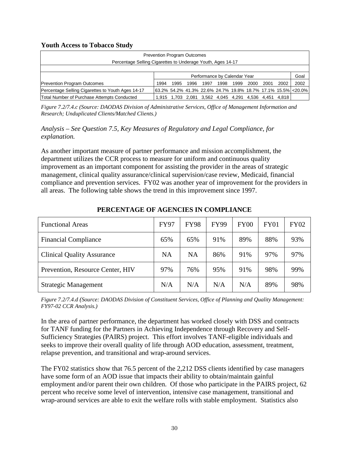#### **Youth Access to Tobacco Study**

| <b>Prevention Program Outcomes</b>                          |                                                              |                                                       |      |      |      |      |      |      |      |      |
|-------------------------------------------------------------|--------------------------------------------------------------|-------------------------------------------------------|------|------|------|------|------|------|------|------|
| Percentage Selling Cigarettes to Underage Youth, Ages 14-17 |                                                              |                                                       |      |      |      |      |      |      |      |      |
|                                                             | Performance by Calendar Year                                 |                                                       |      |      |      | Goal |      |      |      |      |
| <b>Prevention Program Outcomes</b>                          | 1994                                                         | 1995                                                  | 1996 | 1997 | 1998 | 1999 | 2000 | 2001 | 2002 | 2002 |
| Percentage Selling Cigarettes to Youth Ages 14-17           | 63.2% 54.2% 41.3% 22.6% 24.7% 19.8% 18.7% 17.1% 15.5% <20.0% |                                                       |      |      |      |      |      |      |      |      |
| Total Number of Purchase Attempts Conducted                 |                                                              | 1,915 1,703 2,081 3,562 4,045 4,291 4,536 4,451 4,818 |      |      |      |      |      |      |      |      |

*Figure 7.2/7.4.c (Source: DAODAS Division of Administrative Services, Office of Management Information and Research; Unduplicated Clients/Matched Clients.)*

*Analysis* – *See Question 7.5, Key Measures of Regulatory and Legal Compliance, for explanation.*

As another important measure of partner performance and mission accomplishment, the department utilizes the CCR process to measure for uniform and continuous quality improvement as an important component for assisting the provider in the areas of strategic management, clinical quality assurance/clinical supervision/case review, Medicaid, financial compliance and prevention services. FY02 was another year of improvement for the providers in all areas. The following table shows the trend in this improvement since 1997.

| <b>Functional Areas</b>           | <b>FY97</b> | <b>FY98</b> | <b>FY99</b> | <b>FY00</b> | <b>FY01</b> | <b>FY02</b> |
|-----------------------------------|-------------|-------------|-------------|-------------|-------------|-------------|
| <b>Financial Compliance</b>       | 65%         | 65%         | 91%         | 89%         | 88%         | 93%         |
| <b>Clinical Quality Assurance</b> | <b>NA</b>   | <b>NA</b>   | 86%         | 91%         | 97%         | 97%         |
| Prevention, Resource Center, HIV  | 97%         | 76%         | 95%         | 91%         | 98%         | 99%         |
| <b>Strategic Management</b>       | N/A         | N/A         | N/A         | N/A         | 89%         | 98%         |

#### **PERCENTAGE OF AGENCIES IN COMPLIANCE**

*Figure 7.2/7.4.d (Source: DAODAS Division of Constituent Services, Office of Planning and Quality Management: FY97-02 CCR Analysis.)*

In the area of partner performance, the department has worked closely with DSS and contracts for TANF funding for the Partners in Achieving Independence through Recovery and Self-Sufficiency Strategies (PAIRS) project. This effort involves TANF-eligible individuals and seeks to improve their overall quality of life through AOD education, assessment, treatment, relapse prevention, and transitional and wrap-around services.

The FY02 statistics show that 76.5 percent of the 2,212 DSS clients identified by case managers have some form of an AOD issue that impacts their ability to obtain/maintain gainful employment and/or parent their own children. Of those who participate in the PAIRS project, 62 percent who receive some level of intervention, intensive case management, transitional and wrap-around services are able to exit the welfare rolls with stable employment. Statistics also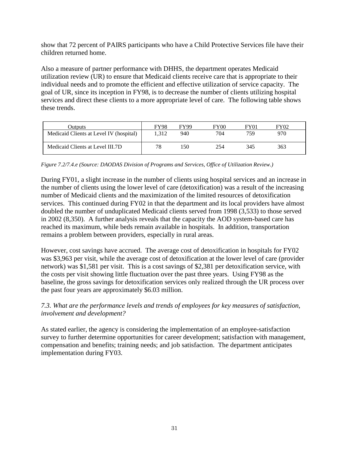show that 72 percent of PAIRS participants who have a Child Protective Services file have their children returned home.

Also a measure of partner performance with DHHS, the department operates Medicaid utilization review (UR) to ensure that Medicaid clients receive care that is appropriate to their individual needs and to promote the efficient and effective utilization of service capacity. The goal of UR, since its inception in FY98, is to decrease the number of clients utilizing hospital services and direct these clients to a more appropriate level of care. The following table shows these trends.

| Outputs                                 | <b>FY98</b> | <b>FY99</b> | <b>FY00</b> | FY01 | FY02 |
|-----------------------------------------|-------------|-------------|-------------|------|------|
| Medicaid Clients at Level IV (hospital) | .312        | 940         | 704         | 759  | 970  |
| Medicaid Clients at Level III.7D        | 78          | 150         | 254         | 345  | 363  |

*Figure 7.2/7.4.e (Source: DAODAS Division of Programs and Services, Office of Utilization Review.)*

During FY01, a slight increase in the number of clients using hospital services and an increase in the number of clients using the lower level of care (detoxification) was a result of the increasing number of Medicaid clients and the maximization of the limited resources of detoxification services. This continued during FY02 in that the department and its local providers have almost doubled the number of unduplicated Medicaid clients served from 1998 (3,533) to those served in 2002 (8,350). A further analysis reveals that the capacity the AOD system-based care has reached its maximum, while beds remain available in hospitals. In addition, transportation remains a problem between providers, especially in rural areas.

However, cost savings have accrued. The average cost of detoxification in hospitals for FY02 was \$3,963 per visit, while the average cost of detoxification at the lower level of care (provider network) was \$1,581 per visit. This is a cost savings of \$2,381 per detoxification service, with the costs per visit showing little fluctuation over the past three years. Using FY98 as the baseline, the gross savings for detoxification services only realized through the UR process over the past four years are approximately \$6.03 million.

## *7.3. What are the performance levels and trends of employees for key measures of satisfaction, involvement and development?*

As stated earlier, the agency is considering the implementation of an employee-satisfaction survey to further determine opportunities for career development; satisfaction with management, compensation and benefits; training needs; and job satisfaction. The department anticipates implementation during FY03.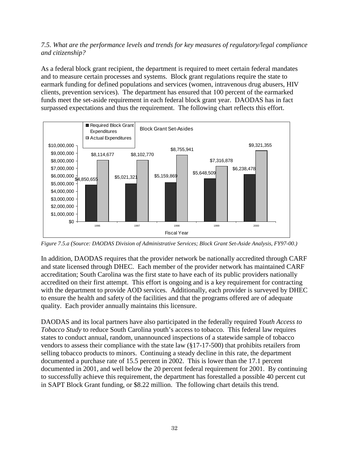#### *7.5. What are the performance levels and trends for key measures of regulatory/legal compliance and citizenship?*

As a federal block grant recipient, the department is required to meet certain federal mandates and to measure certain processes and systems. Block grant regulations require the state to earmark funding for defined populations and services (women, intravenous drug abusers, HIV clients, prevention services). The department has ensured that 100 percent of the earmarked funds meet the set-aside requirement in each federal block grant year. DAODAS has in fact surpassed expectations and thus the requirement. The following chart reflects this effort.



*Figure 7.5.a (Source: DAODAS Division of Administrative Services; Block Grant Set-Aside Analysis, FY97-00.)*

In addition, DAODAS requires that the provider network be nationally accredited through CARF and state licensed through DHEC. Each member of the provider network has maintained CARF accreditation; South Carolina was the first state to have each of its public providers nationally accredited on their first attempt. This effort is ongoing and is a key requirement for contracting with the department to provide AOD services. Additionally, each provider is surveyed by DHEC to ensure the health and safety of the facilities and that the programs offered are of adequate quality. Each provider annually maintains this licensure.

DAODAS and its local partners have also participated in the federally required *Youth Access to Tobacco Study* to reduce South Carolina youth's access to tobacco. This federal law requires states to conduct annual, random, unannounced inspections of a statewide sample of tobacco vendors to assess their compliance with the state law (§17-17-500) that prohibits retailers from selling tobacco products to minors. Continuing a steady decline in this rate, the department documented a purchase rate of 15.5 percent in 2002. This is lower than the 17.1 percent documented in 2001, and well below the 20 percent federal requirement for 2001. By continuing to successfully achieve this requirement, the department has forestalled a possible 40 percent cut in SAPT Block Grant funding, or \$8.22 million. The following chart details this trend.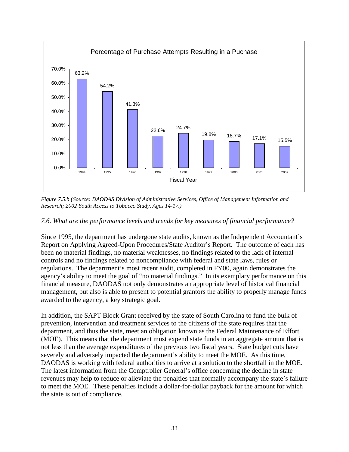

*Figure 7.5.b (Source: DAODAS Division of Administrative Services, Office of Management Information and Research; 2002 Youth Access to Tobacco Study, Ages 14-17.)*

#### *7.6. What are the performance levels and trends for key measures of financial performance?*

Since 1995, the department has undergone state audits, known as the Independent Accountant's Report on Applying Agreed-Upon Procedures/State Auditor's Report. The outcome of each has been no material findings, no material weaknesses, no findings related to the lack of internal controls and no findings related to noncompliance with federal and state laws, rules or regulations. The department's most recent audit, completed in FY00, again demonstrates the agency's ability to meet the goal of "no material findings." In its exemplary performance on this financial measure, DAODAS not only demonstrates an appropriate level of historical financial management, but also is able to present to potential grantors the ability to properly manage funds awarded to the agency, a key strategic goal.

In addition, the SAPT Block Grant received by the state of South Carolina to fund the bulk of prevention, intervention and treatment services to the citizens of the state requires that the department, and thus the state, meet an obligation known as the Federal Maintenance of Effort (MOE). This means that the department must expend state funds in an aggregate amount that is not less than the average expenditures of the previous two fiscal years. State budget cuts have severely and adversely impacted the department's ability to meet the MOE. As this time, DAODAS is working with federal authorities to arrive at a solution to the shortfall in the MOE. The latest information from the Comptroller General's office concerning the decline in state revenues may help to reduce or alleviate the penalties that normally accompany the state's failure to meet the MOE. These penalties include a dollar-for-dollar payback for the amount for which the state is out of compliance.